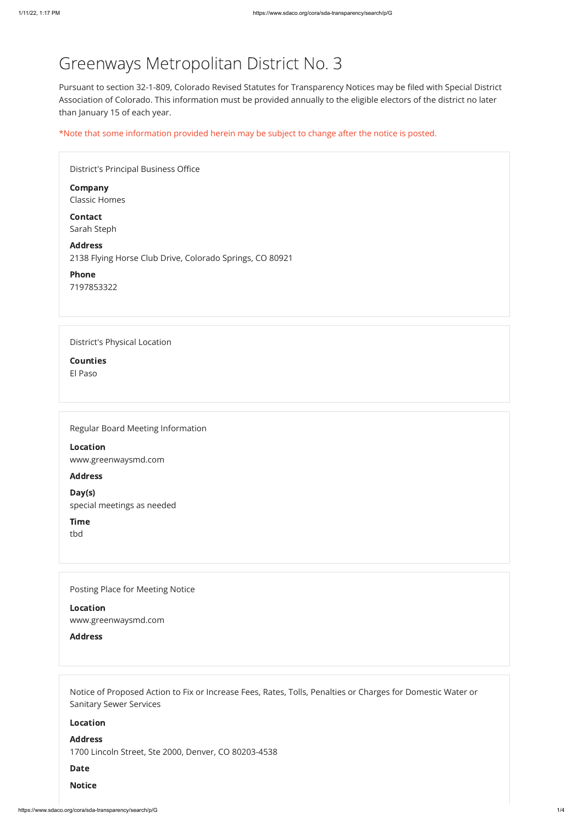# Greenways Metropolitan District No. 3

Pursuant to section 32-1-809, Colorado Revised Statutes for Transparency Notices may be filed with Special District Association of Colorado. This information must be provided annually to the eligible electors of the district no later than January 15 of each year.

\*Note that some information provided herein may be subject to change after the notice is posted.

| <b>District's Principal Business Office</b>              |
|----------------------------------------------------------|
| <b>Company</b>                                           |
| <b>Classic Homes</b>                                     |
| <b>Contact</b>                                           |
| Sarah Steph                                              |
| <b>Address</b>                                           |
| 2138 Flying Horse Club Drive, Colorado Springs, CO 80921 |
| Phone                                                    |
| 7197853322                                               |
|                                                          |
|                                                          |
| District's Physical Location                             |
| <b>Counties</b>                                          |
| El Paso                                                  |
|                                                          |
|                                                          |
|                                                          |
| Regular Board Meeting Information                        |
| <b>Location</b>                                          |
| www.greenwaysmd.com                                      |
| <b>Address</b>                                           |
|                                                          |

Day(s) special meetings as needed

Time

tbd

Posting Place for Meeting Notice

Location

www.greenwaysmd.com

| www.greenwaysmu.com |
|---------------------|
| <b>Address</b>      |
|                     |
|                     |
|                     |

Notice of Proposed Action to Fix or Increase Fees, Rates, Tolls, Penalties or Charges for Domestic Water or Sanitary Sewer Services

#### Location

#### Address

1700 Lincoln Street, Ste 2000, Denver, CO 80203-4538

#### Date

#### **Notice**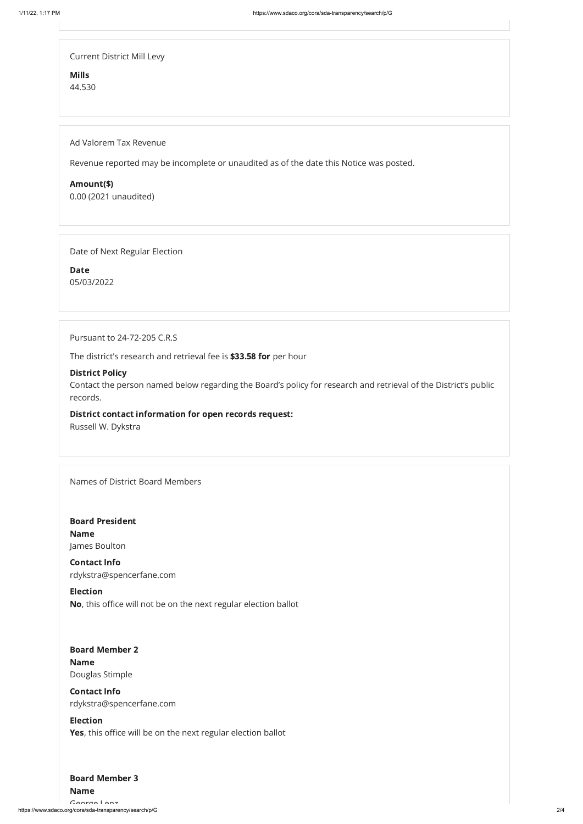https://www.sdaco.org/cora/sda-transparency/search/p/G 2/4 George Lenz

Current District Mill Levy

Mills 44.530

Ad Valorem Tax Revenue

Revenue reported may be incomplete or unaudited as of the date this Notice was posted.

Amount(\$) 0.00 (2021 unaudited)

Date of Next Regular Election

Date 05/03/2022

Pursuant to 24-72-205 C.R.S

The district's research and retrieval fee is \$33.58 for per hour

### District Policy

Contact the person named below regarding the Board's policy for research and retrieval of the District's public records.

# District contact information for open records request:

Russell W. Dykstra

Names of District Board Members

### Board Member 2

Board President Name James Boulton

### Board Member 3

Contact Info rdykstra@spencerfane.com

Election No, this office will not be on the next regular election ballot

Name

Douglas Stimple

### Contact Info

rdykstra@spencerfane.com

### Election

Yes, this office will be on the next regular election ballot

Name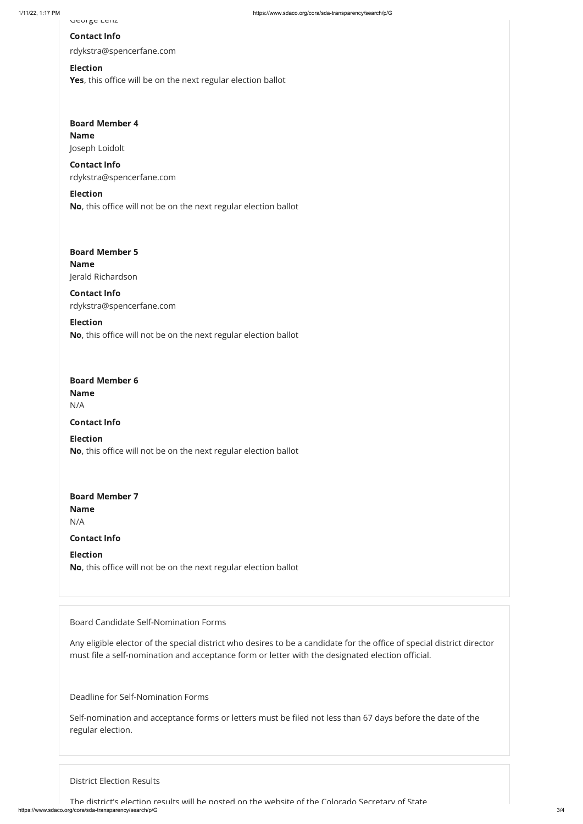### Board Member 6

George Lenz

# Contact Info

rdykstra@spencerfane.com

# Board Member 4 Name Joseph Loidolt

### Election

Yes, this office will be on the next regular election ballot

# Board Member 5 Name

Contact Info rdykstra@spencerfane.com

### Election

No, this office will not be on the next regular election ballot

# Board Member 7 Name N/A

Jerald Richardson

Contact Info rdykstra@spencerfane.com

# Election

No, this office will not be on the next regular election ballot

Name

N/A

### Contact Info

Election No, this office will not be on the next regular election ballot

https://www.sdaco.org/cora/sda-transparency/search/p/G 3/4 The district's election results will be posted on the website of the Colorado Secretary of State

Contact Info

Election No, this office will not be on the next regular election ballot

Board Candidate Self-Nomination Forms

Any eligible elector of the special district who desires to be a candidate for the office of special district director must file a self-nomination and acceptance form or letter with the designated election official.

Deadline for Self-Nomination Forms

Self-nomination and acceptance forms or letters must be filed not less than 67 days before the date of the regular election.

District Election Results